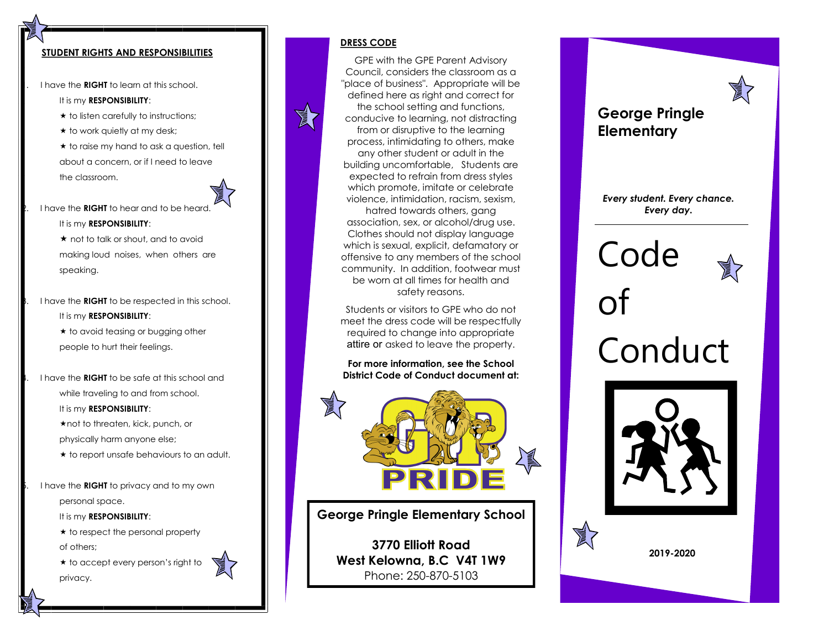#### **STUDENT RIGHTS AND RESPONSIBILITIES**

1. I have the **RIGHT** to learn at this school.

It is my **RESPONSIBILITY**:

- $\star$  to listen carefully to instructions;
- $\star$  to work quietly at my desk;

 $\star$  to raise my hand to ask a question, tell about a concern, or if I need to leave the classroom.



2. I have the **RIGHT** to hear and to be heard.

It is my **RESPONSIBILITY**:

 $\star$  not to talk or shout, and to avoid making loud noises, when others are speaking.

3. I have the **RIGHT** to be respected in this school. It is my **RESPONSIBILITY**:

> $\star$  to avoid teasing or bugging other people to hurt their feelings.

4. I have the **RIGHT** to be safe at this school and while traveling to and from school. It is my **RESPONSIBILITY**:

> \* not to threaten, kick, punch, or physically harm anyone else;

 $\star$  to report unsafe behaviours to an adult.

5. I have the **RIGHT** to privacy and to my own personal space.

It is my **RESPONSIBILITY**:

 $\star$  to respect the personal property of others;

 $\star$  to accept every person's right to privacy.



#### **DRESS CODE**

A

GPE with the GPE Parent Advisory Council, considers the classroom as a "place of business". Appropriate will be defined here as right and correct for the school setting and functions, conducive to learning, not distracting from or disruptive to the learning process, intimidating to others, make any other student or adult in the building uncomfortable, Students are expected to refrain from dress styles which promote, imitate or celebrate violence, intimidation, racism, sexism,

hatred towards others, gang association, sex, or alcohol/drug use. Clothes should not display language which is sexual, explicit, defamatory or offensive to any members of the school community. In addition, footwear must be worn at all times for health and safety reasons.

Students or visitors to GPE who do not meet the dress code will be respectfully required to change into appropriate attire or asked to leave the property.

**For more information, see the School District Code of Conduct document at:** 



**George Pringle Elementary School**

**3770 Elliott Road West Kelowna, B.C V4T 1W9** Phone: 250-870-5103

### **George Pringle Elementary**

*Every student. Every chance. Every day.*

# Code of Conduct





**2019-2020**